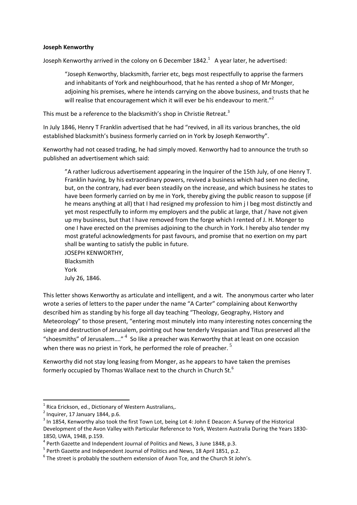## **Joseph Kenworthy**

Joseph Kenworthy arrived in the colony on 6 December 1842. $^1$  A year later, he advertised:

"Joseph Kenworthy, blacksmith, farrier etc, begs most respectfully to apprise the farmers and inhabitants of York and neighbourhood, that he has rented a shop of Mr Monger, adjoining his premises, where he intends carrying on the above business, and trusts that he will realise that encouragement which it will ever be his endeavour to merit."<sup>2</sup>

This must be a reference to the blacksmith's shop in Christie Retreat.<sup>3</sup>

In July 1846, Henry T Franklin advertised that he had "revived, in all its various branches, the old established blacksmith's business formerly carried on in York by Joseph Kenworthy".

Kenworthy had not ceased trading, he had simply moved. Kenworthy had to announce the truth so published an advertisement which said:

"A rather ludicrous advertisement appearing in the Inquirer of the 15th July, of one Henry T. Franklin having, by his extraordinary powers, revived a business which had seen no decline, but, on the contrary, had ever been steadily on the increase, and which business he states to have been formerly carried on by me in York, thereby giving the public reason to suppose (if he means anything at all) that I had resigned my profession to him j I beg most distinctly and yet most respectfully to inform my employers and the public at large, that / have not given up my business, but that I have removed from the forge which I rented of J. H. Monger to one I have erected on the premises adjoining to the church in York. I hereby also tender my most grateful acknowledgments for past favours, and promise that no exertion on my part shall be wanting to satisfy the public in future.

JOSEPH KENWORTHY, Blacksmith York July 26, 1846.

This letter shows Kenworthy as articulate and intelligent, and a wit. The anonymous carter who later wrote a series of letters to the paper under the name "A Carter" complaining about Kenworthy described him as standing by his forge all day teaching "Theology, Geography, History and Meteorology" to those present, "entering most minutely into many interesting notes concerning the siege and destruction of Jerusalem, pointing out how tenderly Vespasian and Titus preserved all the "shoesmiths" of Jerusalem...."  $4\,$  So like a preacher was Kenworthy that at least on one occasion when there was no priest in York, he performed the role of preacher.  $5$ 

Kenworthy did not stay long leasing from Monger, as he appears to have taken the premises formerly occupied by Thomas Wallace next to the church in Church St. $^6$ 

**.** 

 $1$  Rica Erickson, ed., Dictionary of Western Australians,.

 $2$  Inquirer, 17 January 1844, p.6.

 $3$  In 1854, Kenworthy also took the first Town Lot, being Lot 4: John E Deacon: A Survey of the Historical Development of the Avon Valley with Particular Reference to York, Western Australia During the Years 1830- 1850, UWA, 1948, p.159.

 $<sup>4</sup>$  Perth Gazette and Independent Journal of Politics and News, 3 June 1848, p.3.</sup>

<sup>&</sup>lt;sup>5</sup> Perth Gazette and Independent Journal of Politics and News, 18 April 1851, p.2.

 $^6$  The street is probably the southern extension of Avon Tce, and the Church St John's.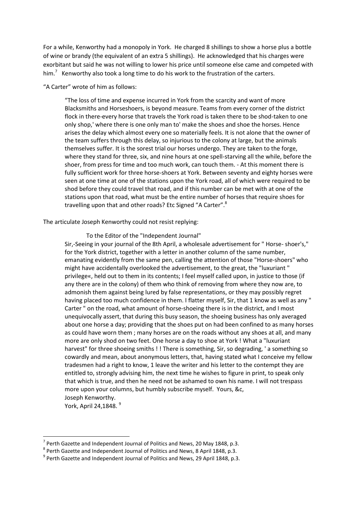For a while, Kenworthy had a monopoly in York. He charged 8 shillings to show a horse plus a bottle of wine or brandy (the equivalent of an extra 5 shillings). He acknowledged that his charges were exorbitant but said he was not willing to lower his price until someone else came and competed with him.<sup>7</sup> Kenworthy also took a long time to do his work to the frustration of the carters.

"A Carter" wrote of him as follows:

"The loss of time and expense incurred in York from the scarcity and want of more Blacksmiths and Horseshoers, is beyond measure. Teams from every corner of the district flock in there-every horse that travels the York road is taken there to be shod-taken to one only shop,' where there is one only man to' make the shoes and shoe the horses. Hence arises the delay which almost every one so materially feels. It is not alone that the owner of the team suffers through this delay, so injurious to the colony at large, but the animals themselves suffer. It is the sorest trial our horses undergo. They are taken to the forge, where they stand for three, six, and nine hours at one spell-starving all the while, before the shoer, from press for time and too much work, can touch them. - At this moment there is fully sufficient work for three horse-shoers at York. Between seventy and eighty horses were seen at one time at one of the stations upon the York road, all of which were required to be shod before they could travel that road, and if this number can be met with at one of the stations upon that road, what must be the entire number of horses that require shoes for travelling upon that and other roads? Etc Signed "A Carter".<sup>8</sup>

The articulate Joseph Kenworthy could not resist replying:

To the Editor of the "Independent Journal"

Sir,-Seeing in your journal of the 8th April, a wholesale advertisement for " Horse- shoer's," for the York district, together with a letter in another column of the same number, emanating evidently from the same pen, calling the attention of those "Horse-shoers" who might have accidentally overlooked the advertisement, to the great, the "luxuriant " privilege«, held out to them in its contents; I feel myself called upon, in justice to those (if any there are in the colony) of them who think of removing from where they now are, to admonish them against being lured by false representations, or they may possibly regret having placed too much confidence in them. I flatter myself, Sir, that 1 know as well as any " Carter " on the road, what amount of horse-shoeing there is in the district, and I most unequivocally assert, that during this busy season, the shoeing business has only averaged about one horse a day; providing that the shoes put on had been confined to as many horses as could have worn them ; many horses are on the roads without any shoes at all, and many more are only shod on two feet. One horse a day to shoe at York ! What a "luxuriant harvest" for three shoeing smiths ! ! There is something, Sir, so degrading, ' a something so cowardly and mean, about anonymous letters, that, having stated what I conceive my fellow tradesmen had a right to know, 1 leave the writer and his letter to the contempt they are entitled to, strongly advising him, the next time he wishes to figure in print, to speak only that which is true, and then he need not be ashamed to own his name. I will not trespass more upon your columns, but humbly subscribe myself. Yours, &c, Joseph Kenworthy.

York, April 24,1848.<sup>9</sup>

**.** 

<sup>7</sup> Perth Gazette and Independent Journal of Politics and News, 20 May 1848, p.3.

 $^8$  Perth Gazette and Independent Journal of Politics and News, 8 April 1848, p.3.

 $^9$  Perth Gazette and Independent Journal of Politics and News, 29 April 1848, p.3.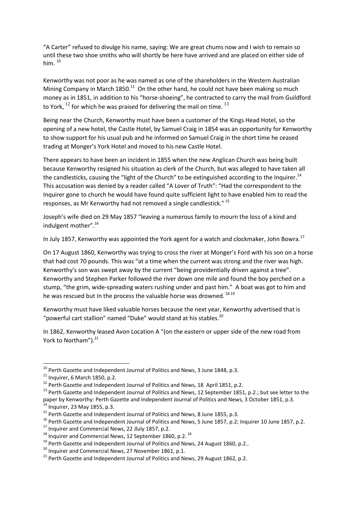"A Carter" refused to divulge his name, saying: We are great chums now and I wish to remain so until these two shoe smiths who will shortly be here have arrived and are placed on either side of him.  $10$ 

Kenworthy was not poor as he was named as one of the shareholders in the Western Australian Mining Company in March  $1850.<sup>11</sup>$  On the other hand, he could not have been making so much money as in 1851, in addition to his "horse-shoeing", he contracted to carry the mail from Guildford to York,  $^{12}$  for which he was praised for delivering the mail on time.  $^{13}$ 

Being near the Church, Kenworthy must have been a customer of the Kings Head Hotel, so the opening of a new hotel, the Castle Hotel, by Samuel Craig in 1854 was an opportunity for Kenworthy to show support for his usual pub and he informed on Samuel Craig in the short time he ceased trading at Monger's York Hotel and moved to his new Castle Hotel.

There appears to have been an incident in 1855 when the new Anglican Church was being built because Kenworthy resigned his situation as clerk of the Church, but was alleged to have taken all the candlesticks, causing the "light of the Church" to be extinguished according to the Inquirer.<sup>14</sup> This accusation was denied by a reader called "A Lover of Truth": "Had the correspondent to the Inquirer gone to church he would have found quite sufficient light to have enabled him to read the responses, as Mr Kenworthy had not removed a single candlestick." <sup>15</sup>

Joseph's wife died on 29 May 1857 "leaving a numerous family to mourn the loss of a kind and indulgent mother".<sup>16</sup>

In July 1857, Kenworthy was appointed the York agent for a watch and clockmaker, John Bowra.<sup>17</sup>

On 17 August 1860, Kenworthy was trying to cross the river at Monger's Ford with his son on a horse that had cost 70 pounds. This was "at a time when the current was strong and the river was high. Kenworthy's son was swept away by the current "being providentially driven against a tree". Kenworthy and Stephen Parker followed the river down one mile and found the boy perched on a stump, "the grim, wide-spreading waters rushing under and past him." A boat was got to him and he was rescued but In the process the valuable horse was drowned.<sup>1819</sup>

Kenworthy must have liked valuable horses because the next year, Kenworthy advertised that is "powerful cart stallion" named "Duke" would stand at his stables. $^{20}$ 

In 1862, Kenworthy leased Avon Location A "(on the eastern or upper side of the new road from York to Northam").<sup>21</sup>

1

<sup>&</sup>lt;sup>10</sup> Perth Gazette and Independent Journal of Politics and News, 3 June 1848, p.3.

 $^{11}$  Inquirer, 6 March 1850, p.2.

 $12$  Perth Gazette and Independent Journal of Politics and News, 18 April 1851, p.2.

<sup>&</sup>lt;sup>13</sup> Perth Gazette and Independent Journal of Politics and News, 12 September 1851, p.2.; but see letter to the paper by Kenworthy: Perth Gazette and Independent Journal of Politics and News, 3 October 1851, p.3.  $14$  Inquirer, 23 May 1855, p.3.

<sup>&</sup>lt;sup>15</sup> Perth Gazette and Independent Journal of Politics and News, 8 June 1855, p.3.

<sup>&</sup>lt;sup>16</sup> Perth Gazette and Independent Journal of Politics and News, 5 June 1857, p.2; Inquirer 10 June 1857, p.2.

 $17$  Inquirer and Commercial News, 22 Jluly 1857, p.2.

 $^{18}$  Inquirer and Commercial News, 12 September 1860, p.2.  $^{18}$ 

 $19$  Perth Gazette and Independent Journal of Politics and News, 24 August 1860, p.2..

 $^{20}$  Inquirer and Commercial News, 27 November 1861, p.1.

 $^{21}$  Perth Gazette and Independent Journal of Politics and News, 29 August 1862, p.2.